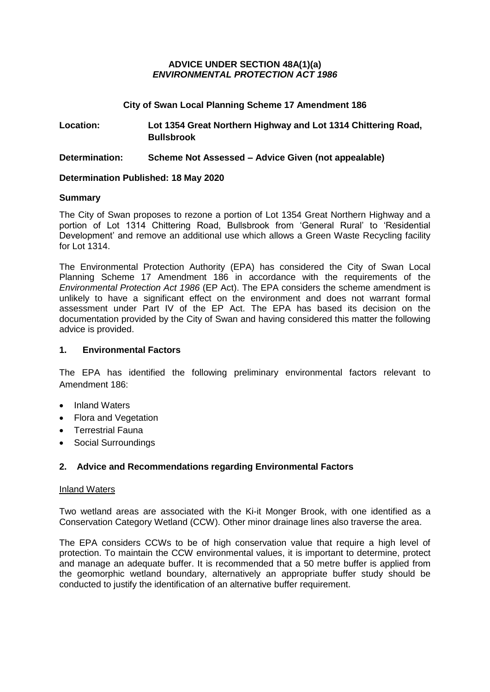## **ADVICE UNDER SECTION 48A(1)(a)** *ENVIRONMENTAL PROTECTION ACT 1986*

# **City of Swan Local Planning Scheme 17 Amendment 186**

**Location: Lot 1354 Great Northern Highway and Lot 1314 Chittering Road, Bullsbrook**

**Determination: Scheme Not Assessed – Advice Given (not appealable)**

# **Determination Published: 18 May 2020**

## **Summary**

The City of Swan proposes to rezone a portion of Lot 1354 Great Northern Highway and a portion of Lot 1314 Chittering Road, Bullsbrook from 'General Rural' to 'Residential Development' and remove an additional use which allows a Green Waste Recycling facility for Lot 1314.

The Environmental Protection Authority (EPA) has considered the City of Swan Local Planning Scheme 17 Amendment 186 in accordance with the requirements of the *Environmental Protection Act 1986* (EP Act). The EPA considers the scheme amendment is unlikely to have a significant effect on the environment and does not warrant formal assessment under Part IV of the EP Act. The EPA has based its decision on the documentation provided by the City of Swan and having considered this matter the following advice is provided.

# **1. Environmental Factors**

The EPA has identified the following preliminary environmental factors relevant to Amendment 186:

- Inland Waters
- Flora and Vegetation
- Terrestrial Fauna
- Social Surroundings

# **2. Advice and Recommendations regarding Environmental Factors**

### Inland Waters

Two wetland areas are associated with the Ki-it Monger Brook, with one identified as a Conservation Category Wetland (CCW). Other minor drainage lines also traverse the area.

The EPA considers CCWs to be of high conservation value that require a high level of protection. To maintain the CCW environmental values, it is important to determine, protect and manage an adequate buffer. It is recommended that a 50 metre buffer is applied from the geomorphic wetland boundary, alternatively an appropriate buffer study should be conducted to justify the identification of an alternative buffer requirement.